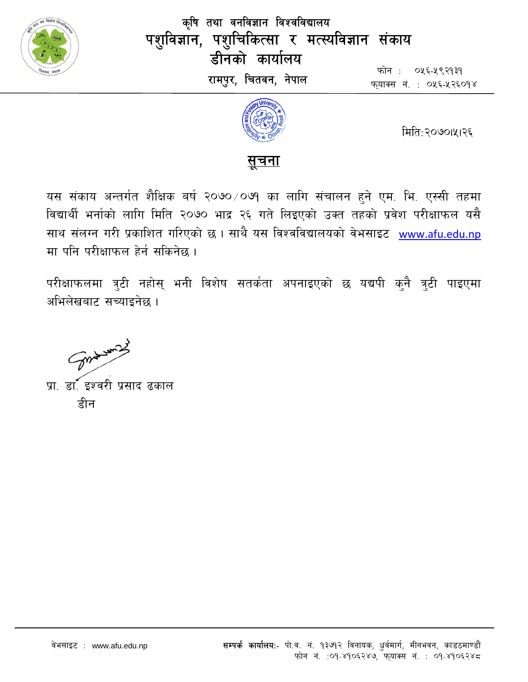

कृषि तथा वनविज्ञान विश्वविद्यालय पशुविज्ञान, पशुचिकित्सा र मत्स्यविज्ञान संकाय डीनको कार्यालय रामपुर, चितवन, नेपाल

फोन: ०५६-५९२१३१ फयाक्स नं. : ०५६-५२६०१४



मिति:२०७०।५१२६



यस संकाय अन्तर्गत शैक्षिक बर्ष २०७० ⁄ ०७१ का लागि संचालन हुने एम. भि. एस्सी तहमा विद्यार्थी भर्नाको लागि मिति २०७० भाद्र २६ गते लिइएको उक्त तहको प्रवेश परीक्षाफल यसै साथ संलग्न गरी प्रकाशित गरिएको छ । साथै यस विश्वविद्यालयको वेभसाइट www.afu.edu.np मा पनि परीक्षाफल हेर्न सकिनेछ।

परीक्षाफलमा त्रुटी नहोस् भनी विशेष सतर्कता अपनाइएको छ यद्यपी कुनै त्रुटी पाइएमा अभिलेखबाट सच्याइनेछ ।

Sureman 2

प्रा. डॉ. इश्वरी प्रसाद ढकाल डीन